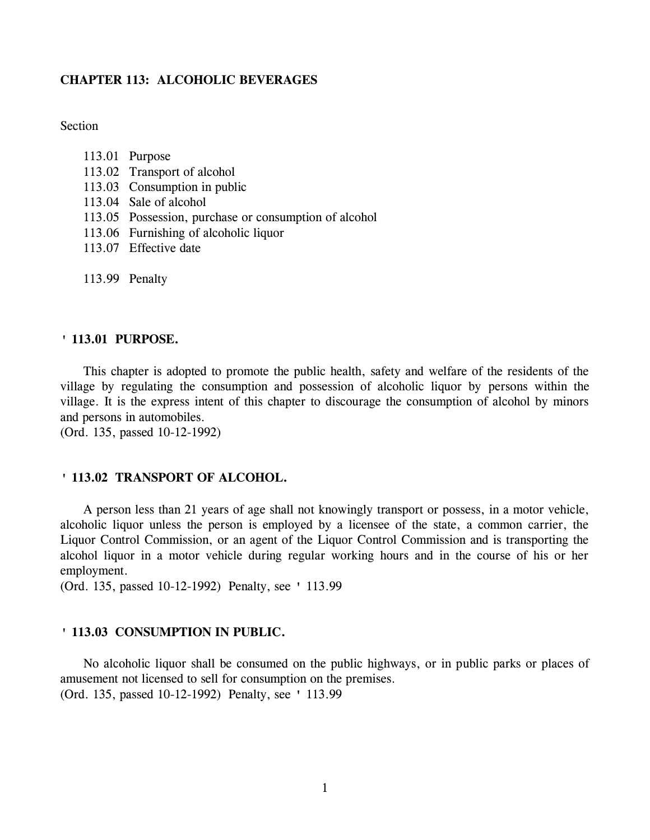# **CHAPTER 113: ALCOHOLIC BEVERAGES**

Section

- 113.02 Transport of alcohol
- 113.03 Consumption in public
- 113.04 Sale of alcohol
- 113.05 Possession, purchase or consumption of alcohol
- 113.06 Furnishing of alcoholic liquor
- 113.07 Effective date
- 113.99 Penalty

#### **' 113.01 PURPOSE.**

This chapter is adopted to promote the public health, safety and welfare of the residents of the village by regulating the consumption and possession of alcoholic liquor by persons within the village. It is the express intent of this chapter to discourage the consumption of alcohol by minors and persons in automobiles.

(Ord. 135, passed 10-12-1992)

# **' 113.02 TRANSPORT OF ALCOHOL.**

A person less than 21 years of age shall not knowingly transport or possess, in a motor vehicle, alcoholic liquor unless the person is employed by a licensee of the state, a common carrier, the Liquor Control Commission, or an agent of the Liquor Control Commission and is transporting the alcohol liquor in a motor vehicle during regular working hours and in the course of his or her employment.

(Ord. 135, passed 10-12-1992) Penalty, see ' 113.99

#### **' 113.03 CONSUMPTION IN PUBLIC.**

No alcoholic liquor shall be consumed on the public highways, or in public parks or places of amusement not licensed to sell for consumption on the premises. (Ord. 135, passed 10-12-1992) Penalty, see ' 113.99